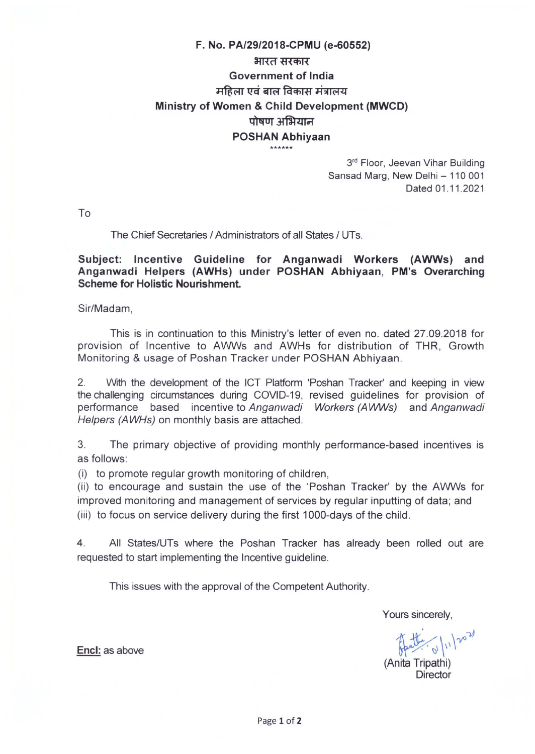# F. No. PA/29/2018-CPMU (e-60552) भारत सरकार Government of India महिला एवं बाल विकास मंत्रालय Ministry of Women & Child Development (MWCD) पोषण अभियान **POSHAN Abhiyaan**<br> $***$ <br> $3<sup>rd</sup> Floor, Jeevan Vihar Building$

Sansad Marg, New Delhi — 110 001 Dated 01.11.2021

To

#### The Chief Secretaries / Administrators of all States / UTs.

#### Subject: Incentive Guideline for Anganwadi Workers (AWWs) and Anganwadi Helpers (AWHs) under POSHAN Abhiyaan, PM's Overarching Scheme for Holistic Nourishment.

Sir/Madam,

This is in continuation to this Ministry's letter of even no. dated 27.09.2018 for provision of Incentive to AWWs and AWHs for distribution of THR, Growth Monitoring & usage of Poshan Tracker under POSHAN Abhiyaan.

2. With the development of the ICT Platform 'Poshan Tracker' and keeping in view the challenging circumstances during COVID-19, revised guidelines for provision of performance based incentive to Anganwadi Workers (AWWs) and Anganwadi Helpers (AWHs) on monthly basis are attached.

3. The primary objective of providing monthly performance-based incentives is as follows:

(i) to promote regular growth monitoring of children,

(ii) to encourage and sustain the use of the 'Poshan Tracker' by the AWWs for improved monitoring and management of services by regular inputting of data; and (iii) to focus on service delivery during the first 1000-days of the child.

4. All States/UTs where the Poshan Tracker has already been rolled out are requested to start implementing the Incentive guideline.

This issues with the approval of the Competent Authority.

Yours sincerely,

 $\nu$ Encl: as above  $\frac{1}{\sqrt{2}}$  as above

(Anita Tripathi) **Director**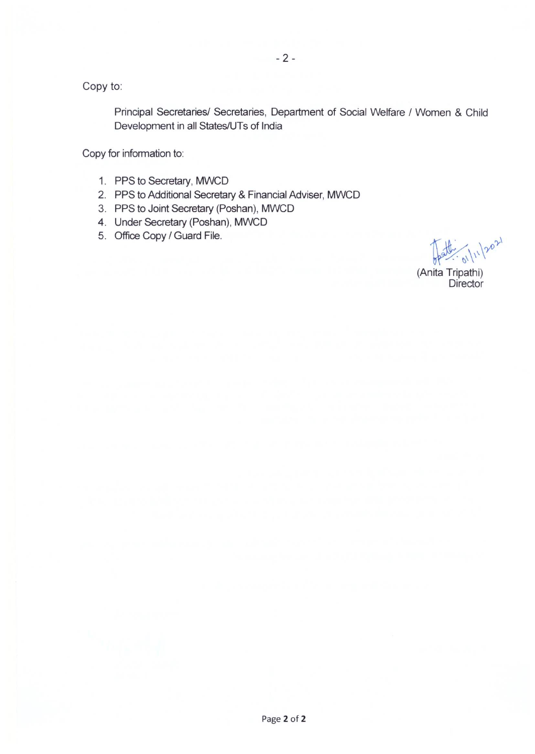$-2-$ 

Copy to:

Principal Secretaries/ Secretaries, Department of Social Welfare / Women & Child Development in all States/UTs of India

Copy for information to:

- 1. PPS to Secretary, MWCD
- 2. PPS to Additional Secretary & Financial Adviser, MWCD
- 3. PPS to Joint Secretary (Poshan), MWCD
- 4. Under Secretary (Poshan), MWCD
- 5. Office Copy / Guard File.

 $\int_{0}^{\frac{1}{2}} dx \cdot \int_{0}^{\frac{1}{2}} dx \cdot \int_{0}^{\frac{1}{2}} dx$ <br>(Anita Tripathi)

(Anita Tripathi)<br>Director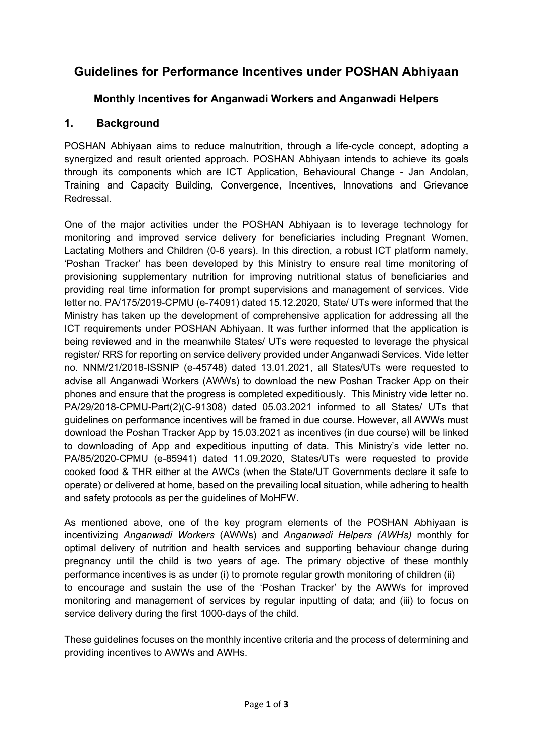## **Guidelines for Performance Incentives under POSHAN Abhiyaan**

### **Monthly Incentives for Anganwadi Workers and Anganwadi Helpers**

#### **1. Background**

POSHAN Abhiyaan aims to reduce malnutrition, through a life-cycle concept, adopting a synergized and result oriented approach. POSHAN Abhiyaan intends to achieve its goals through its components which are ICT Application, Behavioural Change - Jan Andolan, Training and Capacity Building, Convergence, Incentives, Innovations and Grievance Redressal.

One of the major activities under the POSHAN Abhiyaan is to leverage technology for monitoring and improved service delivery for beneficiaries including Pregnant Women, Lactating Mothers and Children (0-6 years). In this direction, a robust ICT platform namely, 'Poshan Tracker' has been developed by this Ministry to ensure real time monitoring of provisioning supplementary nutrition for improving nutritional status of beneficiaries and providing real time information for prompt supervisions and management of services. Vide letter no. PA/175/2019-CPMU (e-74091) dated 15.12.2020, State/ UTs were informed that the Ministry has taken up the development of comprehensive application for addressing all the ICT requirements under POSHAN Abhiyaan. It was further informed that the application is being reviewed and in the meanwhile States/ UTs were requested to leverage the physical register/ RRS for reporting on service delivery provided under Anganwadi Services. Vide letter no. NNM/21/2018-ISSNIP (e-45748) dated 13.01.2021, all States/UTs were requested to advise all Anganwadi Workers (AWWs) to download the new Poshan Tracker App on their phones and ensure that the progress is completed expeditiously. This Ministry vide letter no. PA/29/2018-CPMU-Part(2)(C-91308) dated 05.03.2021 informed to all States/ UTs that guidelines on performance incentives will be framed in due course. However, all AWWs must download the Poshan Tracker App by 15.03.2021 as incentives (in due course) will be linked to downloading of App and expeditious inputting of data. This Ministry's vide letter no. PA/85/2020-CPMU (e-85941) dated 11.09.2020, States/UTs were requested to provide cooked food & THR either at the AWCs (when the State/UT Governments declare it safe to operate) or delivered at home, based on the prevailing local situation, while adhering to health and safety protocols as per the guidelines of MoHFW.

As mentioned above, one of the key program elements of the POSHAN Abhiyaan is incentivizing *Anganwadi Workers* (AWWs) and *Anganwadi Helpers (AWHs)* monthly for optimal delivery of nutrition and health services and supporting behaviour change during pregnancy until the child is two years of age. The primary objective of these monthly performance incentives is as under (i) to promote regular growth monitoring of children (ii) to encourage and sustain the use of the 'Poshan Tracker' by the AWWs for improved monitoring and management of services by regular inputting of data; and (iii) to focus on service delivery during the first 1000-days of the child.

These guidelines focuses on the monthly incentive criteria and the process of determining and providing incentives to AWWs and AWHs.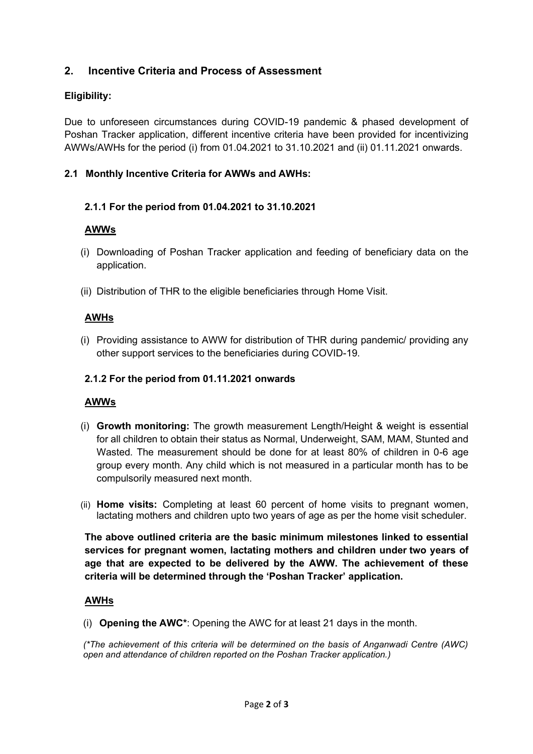#### **2. Incentive Criteria and Process of Assessment**

#### **Eligibility:**

Due to unforeseen circumstances during COVID-19 pandemic & phased development of Poshan Tracker application, different incentive criteria have been provided for incentivizing AWWs/AWHs for the period (i) from 01.04.2021 to 31.10.2021 and (ii) 01.11.2021 onwards.

#### **2.1 Monthly Incentive Criteria for AWWs and AWHs:**

#### **2.1.1 For the period from 01.04.2021 to 31.10.2021**

#### **AWWs**

- (i) Downloading of Poshan Tracker application and feeding of beneficiary data on the application.
- (ii) Distribution of THR to the eligible beneficiaries through Home Visit.

#### **AWHs**

(i) Providing assistance to AWW for distribution of THR during pandemic/ providing any other support services to the beneficiaries during COVID-19.

#### **2.1.2 For the period from 01.11.2021 onwards**

#### **AWWs**

- (i) **Growth monitoring:** The growth measurement Length/Height & weight is essential for all children to obtain their status as Normal, Underweight, SAM, MAM, Stunted and Wasted. The measurement should be done for at least 80% of children in 0-6 age group every month. Any child which is not measured in a particular month has to be compulsorily measured next month.
- (ii) **Home visits:** Completing at least 60 percent of home visits to pregnant women, lactating mothers and children upto two years of age as per the home visit scheduler.

**The above outlined criteria are the basic minimum milestones linked to essential services for pregnant women, lactating mothers and children under two years of age that are expected to be delivered by the AWW. The achievement of these criteria will be determined through the 'Poshan Tracker' application.** 

#### **AWHs**

(i) **Opening the AWC\***: Opening the AWC for at least 21 days in the month.

*(\*The achievement of this criteria will be determined on the basis of Anganwadi Centre (AWC) open and attendance of children reported on the Poshan Tracker application.)*